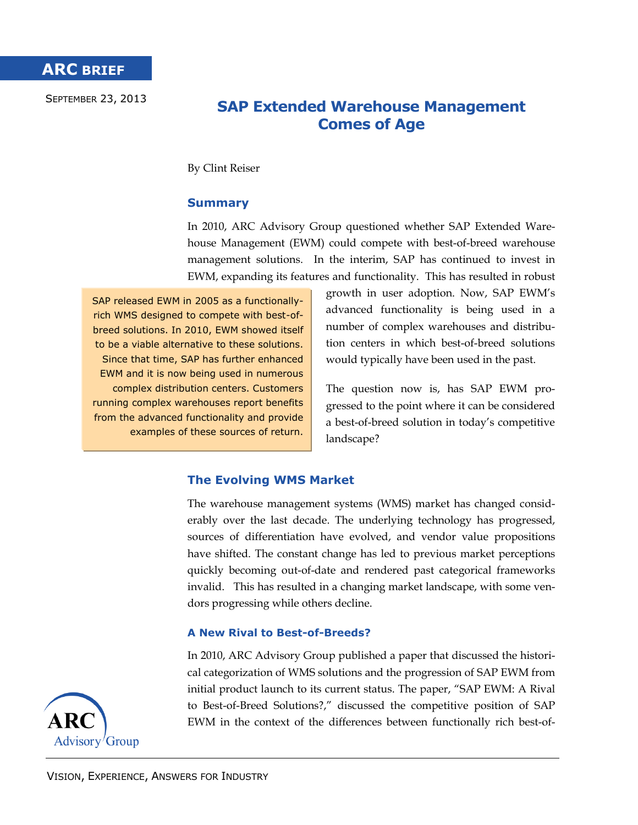SEPTEMBER 23, 2013

# **SAP Extended Warehouse Management Comes of Age**

By Clint Reiser

## **Summary**

In 2010, ARC Advisory Group questioned whether SAP Extended Warehouse Management (EWM) could compete with best-of-breed warehouse management solutions. In the interim, SAP has continued to invest in EWM, expanding its features and functionality. This has resulted in robust

SAP released EWM in 2005 as a functionallyrich WMS designed to compete with best-ofbreed solutions. In 2010, EWM showed itself to be a viable alternative to these solutions. Since that time, SAP has further enhanced EWM and it is now being used in numerous complex distribution centers. Customers running complex warehouses report benefits from the advanced functionality and provide examples of these sources of return.

growth in user adoption. Now, SAP EWM's advanced functionality is being used in a number of complex warehouses and distribution centers in which best-of-breed solutions would typically have been used in the past.

The question now is, has SAP EWM progressed to the point where it can be considered a best-of-breed solution in today's competitive landscape?

## **The Evolving WMS Market**

The warehouse management systems (WMS) market has changed considerably over the last decade. The underlying technology has progressed, sources of differentiation have evolved, and vendor value propositions have shifted. The constant change has led to previous market perceptions quickly becoming out-of-date and rendered past categorical frameworks invalid. This has resulted in a changing market landscape, with some vendors progressing while others decline.

## **A New Rival to Best-of-Breeds?**

In 2010, ARC Advisory Group published a paper that discussed the historical categorization of WMS solutions and the progression of SAP EWM from initial product launch to its current status. The paper, "SAP EWM: A Rival to Best-of-Breed Solutions?," discussed the competitive position of SAP EWM in the context of the differences between functionally rich best-of-

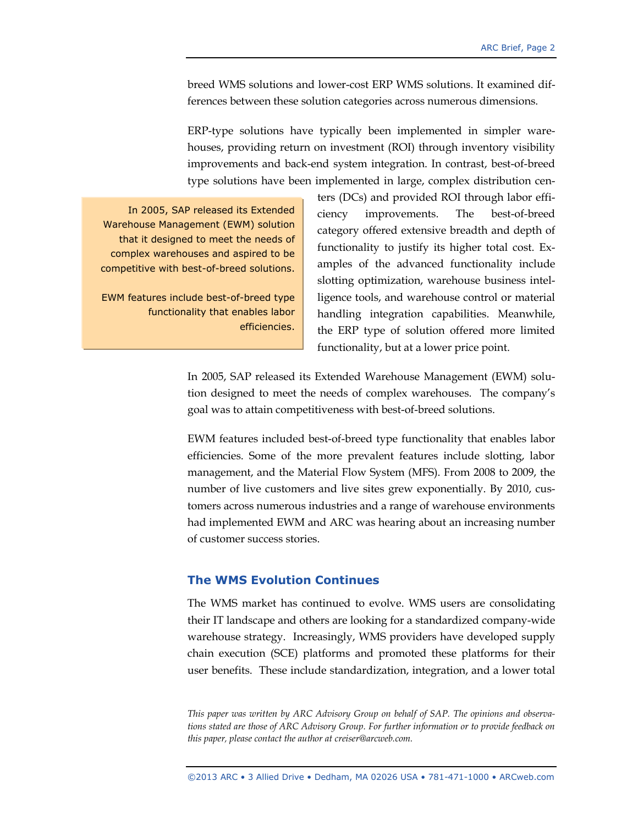breed WMS solutions and lower-cost ERP WMS solutions. It examined differences between these solution categories across numerous dimensions.

ERP-type solutions have typically been implemented in simpler warehouses, providing return on investment (ROI) through inventory visibility improvements and back-end system integration. In contrast, best-of-breed type solutions have been implemented in large, complex distribution cen-

In 2005, SAP released its Extended Warehouse Management (EWM) solution that it designed to meet the needs of complex warehouses and aspired to be competitive with best-of-breed solutions.

EWM features include best-of-breed type functionality that enables labor efficiencies. ters (DCs) and provided ROI through labor efficiency improvements. The best-of-breed category offered extensive breadth and depth of functionality to justify its higher total cost. Examples of the advanced functionality include slotting optimization, warehouse business intelligence tools, and warehouse control or material handling integration capabilities. Meanwhile, the ERP type of solution offered more limited functionality, but at a lower price point.

In 2005, SAP released its Extended Warehouse Management (EWM) solution designed to meet the needs of complex warehouses. The company's goal was to attain competitiveness with best-of-breed solutions.

EWM features included best-of-breed type functionality that enables labor efficiencies. Some of the more prevalent features include slotting, labor management, and the Material Flow System (MFS). From 2008 to 2009, the number of live customers and live sites grew exponentially. By 2010, customers across numerous industries and a range of warehouse environments had implemented EWM and ARC was hearing about an increasing number of customer success stories.

### **The WMS Evolution Continues**

The WMS market has continued to evolve. WMS users are consolidating their IT landscape and others are looking for a standardized company-wide warehouse strategy. Increasingly, WMS providers have developed supply chain execution (SCE) platforms and promoted these platforms for their user benefits. These include standardization, integration, and a lower total

*This paper was written by ARC Advisory Group on behalf of SAP. The opinions and observations stated are those of ARC Advisory Group. For further information or to provide feedback on this paper, please contact the author at creiser@arcweb.com.*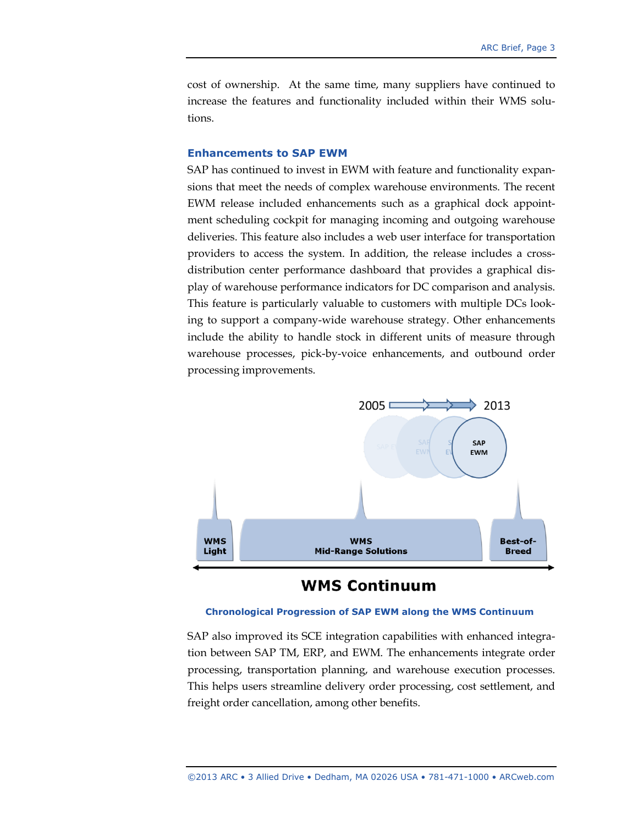cost of ownership. At the same time, many suppliers have continued to increase the features and functionality included within their WMS solutions.

### **Enhancements to SAP EWM**

SAP has continued to invest in EWM with feature and functionality expansions that meet the needs of complex warehouse environments. The recent EWM release included enhancements such as a graphical dock appointment scheduling cockpit for managing incoming and outgoing warehouse deliveries. This feature also includes a web user interface for transportation providers to access the system. In addition, the release includes a crossdistribution center performance dashboard that provides a graphical display of warehouse performance indicators for DC comparison and analysis. This feature is particularly valuable to customers with multiple DCs looking to support a company-wide warehouse strategy. Other enhancements include the ability to handle stock in different units of measure through warehouse processes, pick-by-voice enhancements, and outbound order processing improvements.



## **WMS Continuum**

#### **Chronological Progression of SAP EWM along the WMS Continuum**

SAP also improved its SCE integration capabilities with enhanced integration between SAP TM, ERP, and EWM. The enhancements integrate order processing, transportation planning, and warehouse execution processes. This helps users streamline delivery order processing, cost settlement, and freight order cancellation, among other benefits.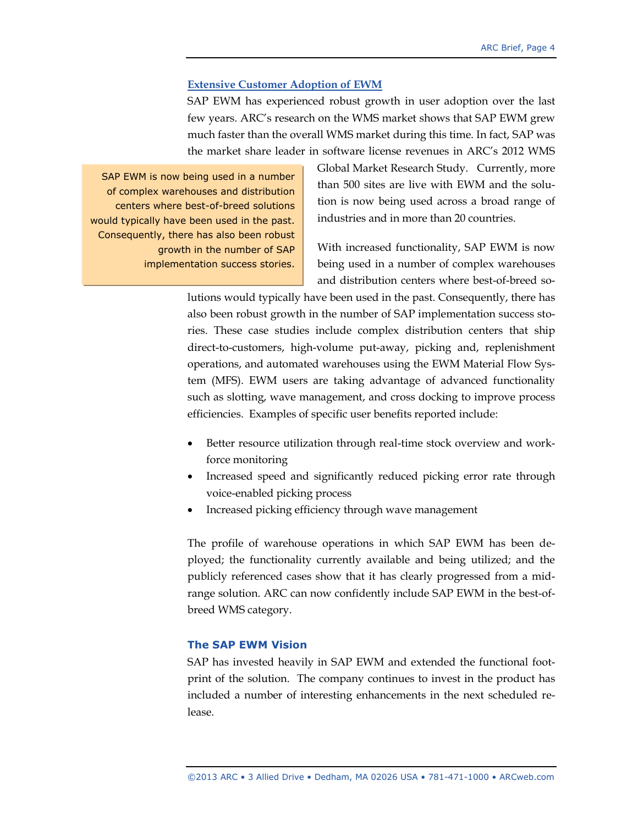### **Extensive Customer Adoption of EWM**

SAP EWM has experienced robust growth in user adoption over the last few years. ARC's research on the WMS market shows that SAP EWM grew much faster than the overall WMS market during this time. In fact, SAP was the market share leader in software license revenues in ARC's 2012 WMS

SAP EWM is now being used in a number of complex warehouses and distribution centers where best-of-breed solutions would typically have been used in the past. Consequently, there has also been robust growth in the number of SAP implementation success stories. Global Market Research Study. Currently, more than 500 sites are live with EWM and the solution is now being used across a broad range of industries and in more than 20 countries.

With increased functionality, SAP EWM is now being used in a number of complex warehouses and distribution centers where best-of-breed so-

lutions would typically have been used in the past. Consequently, there has also been robust growth in the number of SAP implementation success stories. These case studies include complex distribution centers that ship direct-to-customers, high-volume put-away, picking and, replenishment operations, and automated warehouses using the EWM Material Flow System (MFS). EWM users are taking advantage of advanced functionality such as slotting, wave management, and cross docking to improve process efficiencies. Examples of specific user benefits reported include:

- Better resource utilization through real-time stock overview and workforce monitoring
- Increased speed and significantly reduced picking error rate through voice-enabled picking process
- Increased picking efficiency through wave management

The profile of warehouse operations in which SAP EWM has been deployed; the functionality currently available and being utilized; and the publicly referenced cases show that it has clearly progressed from a midrange solution. ARC can now confidently include SAP EWM in the best-ofbreed WMS category.

### **The SAP EWM Vision**

SAP has invested heavily in SAP EWM and extended the functional footprint of the solution. The company continues to invest in the product has included a number of interesting enhancements in the next scheduled release.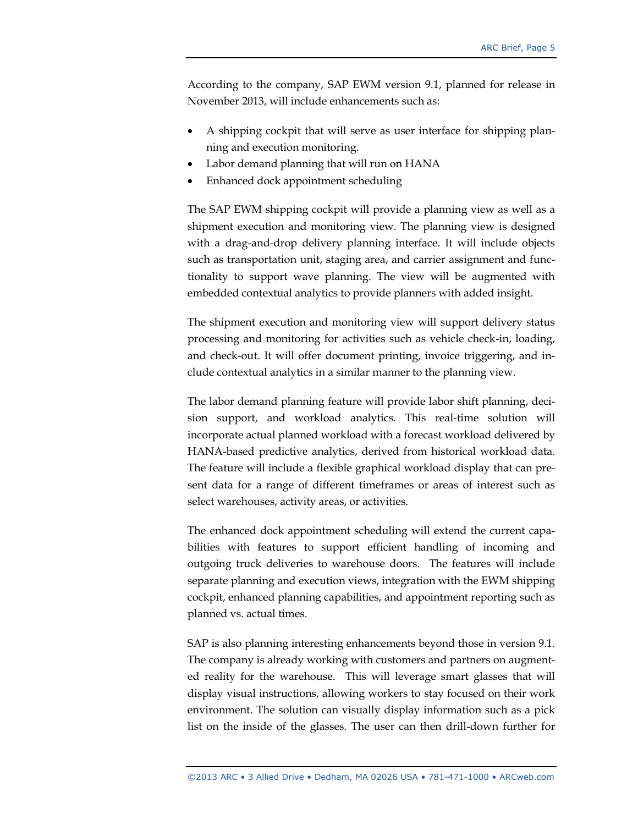According to the company, SAP EWM version 9.1, planned for release in November 2013, will include enhancements such as:

- A shipping cockpit that will serve as user interface for shipping planning and execution monitoring.
- Labor demand planning that will run on HANA
- Enhanced dock appointment scheduling

The SAP EWM shipping cockpit will provide a planning view as well as a shipment execution and monitoring view. The planning view is designed with a drag-and-drop delivery planning interface. It will include objects such as transportation unit, staging area, and carrier assignment and functionality to support wave planning. The view will be augmented with embedded contextual analytics to provide planners with added insight.

The shipment execution and monitoring view will support delivery status processing and monitoring for activities such as vehicle check-in, loading, and check-out. It will offer document printing, invoice triggering, and include contextual analytics in a similar manner to the planning view.

The labor demand planning feature will provide labor shift planning, decision support, and workload analytics. This real-time solution will incorporate actual planned workload with a forecast workload delivered by HANA-based predictive analytics, derived from historical workload data. The feature will include a flexible graphical workload display that can present data for a range of different timeframes or areas of interest such as select warehouses, activity areas, or activities.

The enhanced dock appointment scheduling will extend the current capabilities with features to support efficient handling of incoming and outgoing truck deliveries to warehouse doors. The features will include separate planning and execution views, integration with the EWM shipping cockpit, enhanced planning capabilities, and appointment reporting such as planned vs. actual times.

SAP is also planning interesting enhancements beyond those in version 9.1. The company is already working with customers and partners on augmented reality for the warehouse. This will leverage smart glasses that will display visual instructions, allowing workers to stay focused on their work environment. The solution can visually display information such as a pick list on the inside of the glasses. The user can then drill-down further for